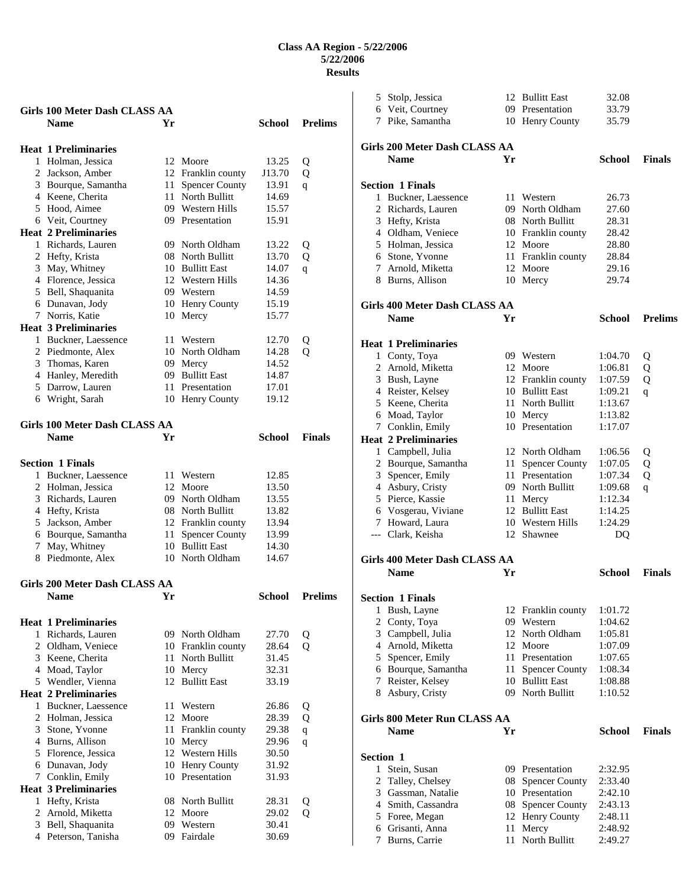| <b>Girls 100 Meter Dash CLASS AA</b>            |    |                       |        |                |
|-------------------------------------------------|----|-----------------------|--------|----------------|
| <b>Name</b>                                     | Yr |                       | School | <b>Prelims</b> |
|                                                 |    |                       |        |                |
| <b>Heat 1 Preliminaries</b>                     |    |                       |        |                |
| 1 Holman, Jessica                               |    | 12 Moore              | 13.25  | Q              |
| 2 Jackson, Amber                                |    | 12 Franklin county    | J13.70 | Q              |
| 3 Bourque, Samantha                             | 11 | <b>Spencer County</b> | 13.91  | q              |
| 4 Keene, Cherita                                | 11 | North Bullitt         | 14.69  |                |
| 5 Hood, Aimee                                   |    | 09 Western Hills      | 15.57  |                |
| 6 Veit, Courtney                                |    | 09 Presentation       | 15.91  |                |
| <b>Heat 2 Preliminaries</b>                     |    |                       |        |                |
| 1 Richards, Lauren                              |    | 09 North Oldham       | 13.22  | Q              |
| 2 Hefty, Krista                                 |    | 08 North Bullitt      | 13.70  | Q              |
| 3 May, Whitney                                  |    | 10 Bullitt East       | 14.07  | q              |
| 4 Florence, Jessica                             |    | 12 Western Hills      | 14.36  |                |
| 5 Bell, Shaquanita                              |    | 09 Western            | 14.59  |                |
| 6 Dunavan, Jody                                 |    | 10 Henry County       | 15.19  |                |
| 7 Norris, Katie                                 | 10 | Mercy                 | 15.77  |                |
| <b>Heat 3 Preliminaries</b>                     |    |                       |        |                |
| 1 Buckner, Laessence                            |    | 11 Western            | 12.70  | Q              |
| 2 Piedmonte, Alex                               |    | 10 North Oldham       | 14.28  | о              |
| 3 Thomas, Karen                                 |    | 09 Mercy              | 14.52  |                |
| 4 Hanley, Meredith                              |    | 09 Bullitt East       | 14.87  |                |
| 5 Darrow, Lauren                                |    | 11 Presentation       | 17.01  |                |
| 6 Wright, Sarah                                 |    | 10 Henry County       | 19.12  |                |
|                                                 |    |                       |        |                |
| <b>Girls 100 Meter Dash CLASS AA</b>            |    |                       |        |                |
| <b>Name</b>                                     | Yr |                       | School | <b>Finals</b>  |
|                                                 |    |                       |        |                |
| <b>Section 1 Finals</b>                         |    |                       |        |                |
| 1 Buckner, Laessence                            |    | 11 Western            | 12.85  |                |
| 2 Holman, Jessica                               |    | 12 Moore              | 13.50  |                |
| 3 Richards, Lauren                              |    | 09 North Oldham       | 13.55  |                |
| 4 Hefty, Krista                                 |    | 08 North Bullitt      | 13.82  |                |
| 5 Jackson, Amber                                |    | 12 Franklin county    | 13.94  |                |
| 6 Bourque, Samantha                             | 11 | <b>Spencer County</b> | 13.99  |                |
| 7 May, Whitney                                  |    | 10 Bullitt East       | 14.30  |                |
| 8 Piedmonte, Alex                               |    | 10 North Oldham       | 14.67  |                |
|                                                 |    |                       |        |                |
| Girls 200 Meter Dash CLASS AA                   |    |                       |        |                |
| <b>Name</b>                                     | Yr |                       | School | <b>Prelims</b> |
|                                                 |    |                       |        |                |
| <b>Heat 1 Preliminaries</b>                     |    |                       |        |                |
| 1 Richards, Lauren                              |    | 09 North Oldham       | 27.70  | Q              |
| 2 Oldham, Veniece                               |    | 10 Franklin county    | 28.64  | Q              |
| 3 Keene, Cherita                                | 11 | North Bullitt         | 31.45  |                |
| 4 Moad, Taylor                                  |    | 10 Mercy              | 32.31  |                |
| 5 Wendler, Vienna                               |    | 12 Bullitt East       | 33.19  |                |
| <b>Heat 2 Preliminaries</b>                     |    |                       |        |                |
| 1 Buckner, Laessence                            | 11 | Western               | 26.86  | Q              |
| 2 Holman, Jessica                               |    | 12 Moore              | 28.39  | Q              |
| 3 Stone, Yvonne                                 | 11 | Franklin county       | 29.38  | $\mathbf q$    |
| 4 Burns, Allison                                |    | 10 Mercy              | 29.96  | q              |
| 5 Florence, Jessica                             |    | 12 Western Hills      | 30.50  |                |
| 6 Dunavan, Jody                                 |    | 10 Henry County       | 31.92  |                |
| 7 Conklin, Emily<br><b>Heat 3 Preliminaries</b> |    | 10 Presentation       | 31.93  |                |
| 1 Hefty, Krista                                 |    | 08 North Bullitt      | 28.31  |                |
| 2 Arnold, Miketta                               |    | 12 Moore              | 29.02  | Q<br>Q         |
| 3 Bell, Shaquanita                              |    | 09 Western            | 30.41  |                |
| 4 Peterson, Tanisha                             |    | 09 Fairdale           | 30.69  |                |
|                                                 |    |                       |        |                |

|           | 5 Stolp, Jessica                                |      | 12 Bullitt East                       | 32.08              |                |
|-----------|-------------------------------------------------|------|---------------------------------------|--------------------|----------------|
|           | 6 Veit, Courtney                                |      | 09 Presentation                       | 33.79              |                |
|           | 7 Pike, Samantha                                |      | 10 Henry County                       | 35.79              |                |
|           |                                                 |      |                                       |                    |                |
|           | Girls 200 Meter Dash CLASS AA                   |      |                                       |                    |                |
|           | <b>Name</b>                                     | Yr   |                                       | <b>School</b>      | <b>Finals</b>  |
|           |                                                 |      |                                       |                    |                |
|           | <b>Section 1 Finals</b><br>1 Buckner, Laessence |      | 11 Western                            |                    |                |
|           | 2 Richards, Lauren                              |      | 09 North Oldham                       | 26.73<br>27.60     |                |
|           | 3 Hefty, Krista                                 |      | 08 North Bullitt                      | 28.31              |                |
|           | 4 Oldham, Veniece                               |      | 10 Franklin county                    | 28.42              |                |
|           | 5 Holman, Jessica                               |      | 12 Moore                              | 28.80              |                |
|           | 6 Stone, Yvonne                                 |      | 11 Franklin county                    | 28.84              |                |
|           | 7 Arnold, Miketta                               |      | 12 Moore                              | 29.16              |                |
|           | 8 Burns, Allison                                |      | 10 Mercy                              | 29.74              |                |
|           |                                                 |      |                                       |                    |                |
|           | <b>Girls 400 Meter Dash CLASS AA</b>            |      |                                       |                    |                |
|           | <b>Name</b>                                     | Yr   |                                       | School             | <b>Prelims</b> |
|           | <b>Heat 1 Preliminaries</b>                     |      |                                       |                    |                |
|           | 1 Conty, Toya                                   |      | 09 Western                            | 1:04.70            | Q              |
|           | 2 Arnold, Miketta                               |      | 12 Moore                              | 1:06.81            | Q              |
|           | 3 Bush, Layne                                   |      | 12 Franklin county                    | 1:07.59            | Q              |
|           | 4 Reister, Kelsey                               |      | 10 Bullitt East                       | 1:09.21            | q              |
|           | 5 Keene, Cherita                                |      | 11 North Bullitt                      | 1:13.67            |                |
|           | 6 Moad, Taylor                                  |      | 10 Mercy                              | 1:13.82            |                |
|           | 7 Conklin, Emily                                |      | 10 Presentation                       | 1:17.07            |                |
|           | <b>Heat 2 Preliminaries</b>                     |      |                                       |                    |                |
|           | 1 Campbell, Julia                               |      | 12 North Oldham                       | 1:06.56            | Q              |
|           | 2 Bourque, Samantha                             | 11 - | <b>Spencer County</b>                 | 1:07.05            | Q              |
|           | 3 Spencer, Emily                                |      | 11 Presentation                       | 1:07.34            | Q              |
|           | 4 Asbury, Cristy                                |      | 09 North Bullitt                      | 1:09.68            | q              |
|           | 5 Pierce, Kassie                                |      | 11 Mercy                              | 1:12.34            |                |
|           | 6 Vosgerau, Viviane                             |      | 12 Bullitt East                       | 1:14.25            |                |
|           | 7 Howard, Laura                                 |      | 10 Western Hills                      | 1:24.29            |                |
|           | --- Clark, Keisha                               |      | 12 Shawnee                            | DQ                 |                |
|           |                                                 |      |                                       |                    |                |
|           | Girls 400 Meter Dash CLASS AA<br><b>Name</b>    | Yr   |                                       | School             | <b>Finals</b>  |
|           |                                                 |      |                                       |                    |                |
|           | <b>Section 1 Finals</b>                         |      |                                       |                    |                |
| 1         | Bush, Layne                                     |      | 12 Franklin county                    | 1:01.72            |                |
|           | 2 Conty, Toya                                   |      | 09 Western                            | 1:04.62            |                |
|           | 3 Campbell, Julia                               |      | 12 North Oldham                       | 1:05.81            |                |
|           | 4 Arnold, Miketta                               |      | 12 Moore                              | 1:07.09            |                |
|           | 5 Spencer, Emily                                |      | 11 Presentation                       | 1:07.65            |                |
|           | 6 Bourque, Samantha                             | 11   | <b>Spencer County</b>                 | 1:08.34            |                |
|           | 7 Reister, Kelsey                               |      | 10 Bullitt East                       | 1:08.88            |                |
|           | 8 Asbury, Cristy                                |      | 09 North Bullitt                      | 1:10.52            |                |
|           | Girls 800 Meter Run CLASS AA                    |      |                                       |                    |                |
|           | <b>Name</b>                                     | Yr   |                                       | <b>School</b>      | <b>Finals</b>  |
| Section 1 |                                                 |      |                                       |                    |                |
|           | 1 Stein, Susan                                  |      | 09 Presentation                       | 2:32.95            |                |
|           |                                                 |      |                                       |                    |                |
|           | 2 Talley, Chelsey<br>3 Gassman, Natalie         |      | 08 Spencer County<br>10 Presentation  | 2:33.40            |                |
|           |                                                 | 08   |                                       | 2:42.10            |                |
|           | 4 Smith, Cassandra                              | 12   | <b>Spencer County</b><br>Henry County | 2:43.13<br>2:48.11 |                |
|           | 5 Foree, Megan<br>6 Grisanti, Anna              | 11   | Mercy                                 | 2:48.92            |                |
|           | 7 Burns, Carrie                                 | 11   | North Bullitt                         | 2:49.27            |                |
|           |                                                 |      |                                       |                    |                |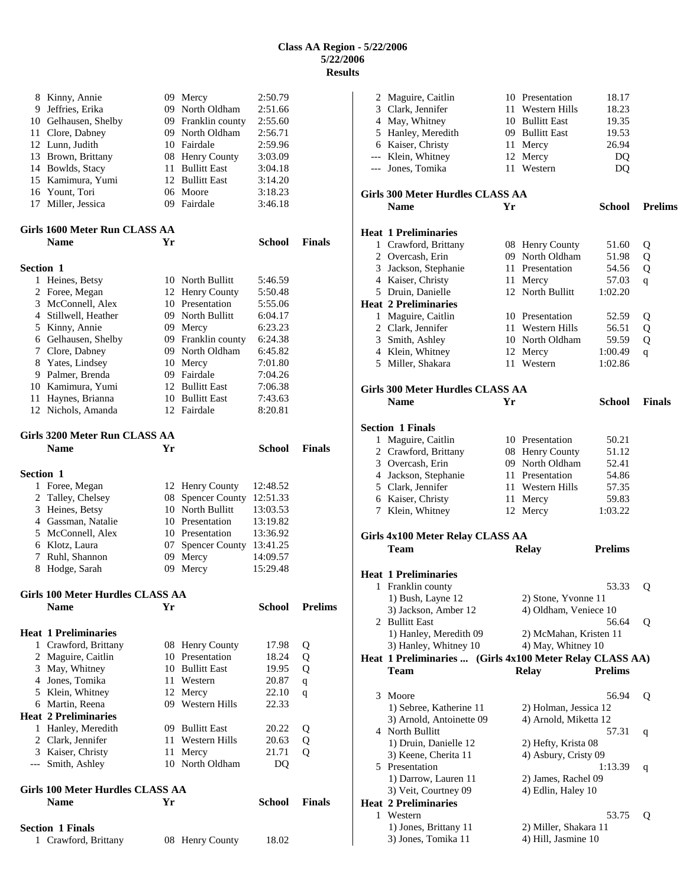|                  | 8 Kinny, Annie<br>9 Jeffries, Erika<br>10 Gelhausen, Shelby |    | 09 Mercy<br>09 North Oldham<br>09 Franklin county | 2:50.79<br>2:51.66<br>2:55.60 |                |
|------------------|-------------------------------------------------------------|----|---------------------------------------------------|-------------------------------|----------------|
|                  | 11 Clore, Dabney                                            |    | 09 North Oldham                                   | 2:56.71                       |                |
|                  | 12 Lunn, Judith<br>13 Brown, Brittany                       |    | 10 Fairdale<br>08 Henry County                    | 2:59.96<br>3:03.09            |                |
|                  | 14 Bowlds, Stacy                                            |    | 11 Bullitt East                                   | 3:04.18                       |                |
|                  | 15 Kamimura, Yumi                                           |    | 12 Bullitt East                                   | 3:14.20                       |                |
|                  | 16 Yount, Tori                                              |    | 06 Moore                                          | 3:18.23                       |                |
|                  | 17 Miller, Jessica                                          |    | 09 Fairdale                                       | 3:46.18                       |                |
|                  | Girls 1600 Meter Run CLASS AA<br><b>Name</b>                | Yr |                                                   | <b>School</b>                 | <b>Finals</b>  |
|                  |                                                             |    |                                                   |                               |                |
| <b>Section 1</b> | 1 Heines, Betsy                                             |    | 10 North Bullitt                                  | 5:46.59                       |                |
|                  | 2 Foree, Megan                                              |    | 12 Henry County                                   | 5:50.48                       |                |
|                  | 3 McConnell, Alex                                           |    | 10 Presentation                                   | 5:55.06                       |                |
|                  | 4 Stillwell, Heather                                        |    | 09 North Bullitt                                  | 6:04.17                       |                |
|                  | 5 Kinny, Annie                                              |    | 09 Mercy                                          | 6:23.23                       |                |
|                  | 6 Gelhausen, Shelby                                         |    | 09 Franklin county                                | 6:24.38                       |                |
|                  | 7 Clore, Dabney                                             |    | 09 North Oldham                                   | 6:45.82                       |                |
|                  | 8 Yates, Lindsey                                            |    | 10 Mercy                                          | 7:01.80                       |                |
|                  | 9 Palmer, Brenda                                            |    | 09 Fairdale                                       | 7:04.26                       |                |
|                  | 10 Kamimura, Yumi                                           |    | 12 Bullitt East                                   | 7:06.38                       |                |
|                  | 11 Haynes, Brianna                                          |    | 10 Bullitt East                                   | 7:43.63                       |                |
|                  | 12 Nichols, Amanda                                          |    | 12 Fairdale                                       | 8:20.81                       |                |
|                  | Girls 3200 Meter Run CLASS AA                               |    |                                                   |                               |                |
|                  | <b>Name</b>                                                 | Yr |                                                   | <b>School</b>                 | <b>Finals</b>  |
| <b>Section 1</b> |                                                             |    |                                                   |                               |                |
| 1                | Foree, Megan                                                |    | 12 Henry County                                   | 12:48.52                      |                |
|                  |                                                             |    | 08 Spencer County                                 | 12:51.33                      |                |
|                  | 2 Talley, Chelsey                                           |    |                                                   |                               |                |
|                  | 3 Heines, Betsy                                             |    | 10 North Bullitt                                  | 13:03.53                      |                |
|                  | 4 Gassman, Natalie                                          |    | 10 Presentation                                   | 13:19.82                      |                |
|                  | 5 McConnell, Alex                                           |    | 10 Presentation                                   | 13:36.92                      |                |
|                  | 6 Klotz, Laura                                              |    | 07 Spencer County 13:41.25                        |                               |                |
| 7<br>8           | Ruhl, Shannon<br>Hodge, Sarah                               | 09 | 09 Mercy<br>Mercy                                 | 14:09.57<br>15:29.48          |                |
|                  | Girls 100 Meter Hurdles CLASS AA                            |    |                                                   |                               |                |
|                  | <b>Name</b>                                                 | Yr |                                                   | School                        | <b>Prelims</b> |
|                  | <b>Heat 1 Preliminaries</b>                                 |    |                                                   |                               |                |
|                  | 1 Crawford, Brittany                                        |    | 08 Henry County                                   | 17.98                         | Q              |
|                  | 2 Maguire, Caitlin                                          |    | 10 Presentation                                   | 18.24                         | Q              |
| 3                | May, Whitney                                                |    | 10 Bullitt East                                   | 19.95                         | Q              |
|                  | 4 Jones, Tomika                                             |    | 11 Western                                        | 20.87                         | q              |
|                  | 5 Klein, Whitney                                            |    | 12 Mercy                                          | 22.10                         | q              |
|                  | 6 Martin, Reena                                             |    | 09 Western Hills                                  | 22.33                         |                |
|                  | <b>Heat 2 Preliminaries</b>                                 |    |                                                   |                               |                |
|                  | 1 Hanley, Meredith                                          |    | 09 Bullitt East                                   | 20.22                         | Q              |
|                  | 2 Clark, Jennifer                                           |    | 11 Western Hills                                  | 20.63                         | Q              |
|                  | 3 Kaiser, Christy<br>--- Smith, Ashley                      |    | 11 Mercy<br>10 North Oldham                       | 21.71<br>DQ                   | Q              |
|                  | Girls 100 Meter Hurdles CLASS AA                            |    |                                                   |                               |                |
|                  | <b>Name</b>                                                 | Yr |                                                   | School                        | <b>Finals</b>  |
|                  | <b>Section 1 Finals</b>                                     |    |                                                   |                               |                |

|   | 2 Maguire, Caitlin                                       |    | 10 Presentation        | 18.17          |                |
|---|----------------------------------------------------------|----|------------------------|----------------|----------------|
|   | 3 Clark, Jennifer                                        |    | 11 Western Hills       | 18.23          |                |
|   | 4 May, Whitney                                           |    | 10 Bullitt East        | 19.35          |                |
|   | 5 Hanley, Meredith                                       |    | 09 Bullitt East        | 19.53          |                |
|   | 6 Kaiser, Christy                                        |    | 11 Mercy               | 26.94          |                |
|   | --- Klein, Whitney                                       |    | 12 Mercy               | DQ             |                |
|   | --- Jones, Tomika                                        |    | 11 Western             | DQ             |                |
|   | <b>Girls 300 Meter Hurdles CLASS AA</b>                  |    |                        |                |                |
|   | <b>Name</b>                                              | Yr |                        | <b>School</b>  | <b>Prelims</b> |
|   | <b>Heat 1 Preliminaries</b>                              |    |                        |                |                |
|   | 1 Crawford, Brittany                                     |    | 08 Henry County        | 51.60          | Q              |
|   | 2 Overcash, Erin                                         |    | 09 North Oldham        | 51.98          | Q              |
|   | 3 Jackson, Stephanie                                     |    | 11 Presentation        | 54.56          | Q              |
|   | 4 Kaiser, Christy                                        |    | 11 Mercy               | 57.03          | q              |
|   | 5 Druin, Danielle                                        |    | 12 North Bullitt       | 1:02.20        |                |
|   | <b>Heat 2 Preliminaries</b>                              |    |                        |                |                |
|   | 1 Maguire, Caitlin                                       |    | 10 Presentation        | 52.59          | Q              |
|   | 2 Clark, Jennifer                                        |    | 11 Western Hills       | 56.51          | Q              |
|   | 3 Smith, Ashley                                          |    | 10 North Oldham        | 59.59          | Q              |
|   | 4 Klein, Whitney                                         |    | 12 Mercy               | 1:00.49        | $\mathbf{q}$   |
|   | 5 Miller, Shakara                                        |    | 11 Western             | 1:02.86        |                |
|   | <b>Girls 300 Meter Hurdles CLASS AA</b>                  |    |                        |                |                |
|   | <b>Name</b>                                              | Yr |                        | School         | <b>Finals</b>  |
|   | <b>Section 1 Finals</b>                                  |    |                        |                |                |
|   | 1 Maguire, Caitlin                                       |    | 10 Presentation        | 50.21          |                |
|   | 2 Crawford, Brittany                                     |    | 08 Henry County        | 51.12          |                |
|   | 3 Overcash, Erin                                         |    | 09 North Oldham        | 52.41          |                |
|   | 4 Jackson, Stephanie                                     |    | 11 Presentation        | 54.86          |                |
|   | 5 Clark, Jennifer                                        |    | 11 Western Hills       | 57.35          |                |
|   | 6 Kaiser, Christy                                        |    | 11 Mercy               | 59.83          |                |
|   | 7 Klein, Whitney                                         |    | 12 Mercy               | 1:03.22        |                |
|   |                                                          |    |                        |                |                |
|   | Girls 4x100 Meter Relay CLASS AA<br>Team                 |    | <b>Relay</b>           | <b>Prelims</b> |                |
|   |                                                          |    |                        |                |                |
|   | <b>Heat 1 Preliminaries</b>                              |    |                        |                |                |
|   | 1 Franklin county                                        |    |                        | 53.33          | Q              |
|   | 1) Bush, Layne 12                                        |    | 2) Stone, Yvonne 11    |                |                |
|   | 3) Jackson, Amber 12                                     |    | 4) Oldham, Veniece 10  |                |                |
|   | 2 Bullitt East                                           |    |                        | 56.64          | Q              |
|   | 1) Hanley, Meredith 09<br>3) Hanley, Whitney 10          |    | 2) McMahan, Kristen 11 |                |                |
|   | Heat 1 Preliminaries  (Girls 4x100 Meter Relay CLASS AA) |    | 4) May, Whitney 10     |                |                |
|   | <b>Team</b>                                              |    | Relay                  | <b>Prelims</b> |                |
|   |                                                          |    |                        |                |                |
| 3 | Moore                                                    |    |                        | 56.94          | Q              |
|   | 1) Sebree, Katherine 11                                  |    | 2) Holman, Jessica 12  |                |                |
|   | 3) Arnold, Antoinette 09<br>4 North Bullitt              |    | 4) Arnold, Miketta 12  |                |                |
|   |                                                          |    |                        | 57.31          | q              |
|   | 1) Druin, Danielle 12<br>3) Keene, Cherita 11            |    | 2) Hefty, Krista 08    |                |                |
|   |                                                          |    | 4) Asbury, Cristy 09   |                |                |
|   | 5 Presentation<br>1) Darrow, Lauren 11                   |    | 2) James, Rachel 09    | 1:13.39        | q              |
|   | 3) Veit, Courtney 09                                     |    | 4) Edlin, Haley 10     |                |                |
|   | <b>Heat 2 Preliminaries</b>                              |    |                        |                |                |
| 1 | Western                                                  |    |                        | 53.75          | Q              |
|   | 1) Jones, Brittany 11                                    |    | 2) Miller, Shakara 11  |                |                |
|   | 3) Jones, Tomika 11                                      |    | 4) Hill, Jasmine 10    |                |                |
|   |                                                          |    |                        |                |                |
|   |                                                          |    |                        |                |                |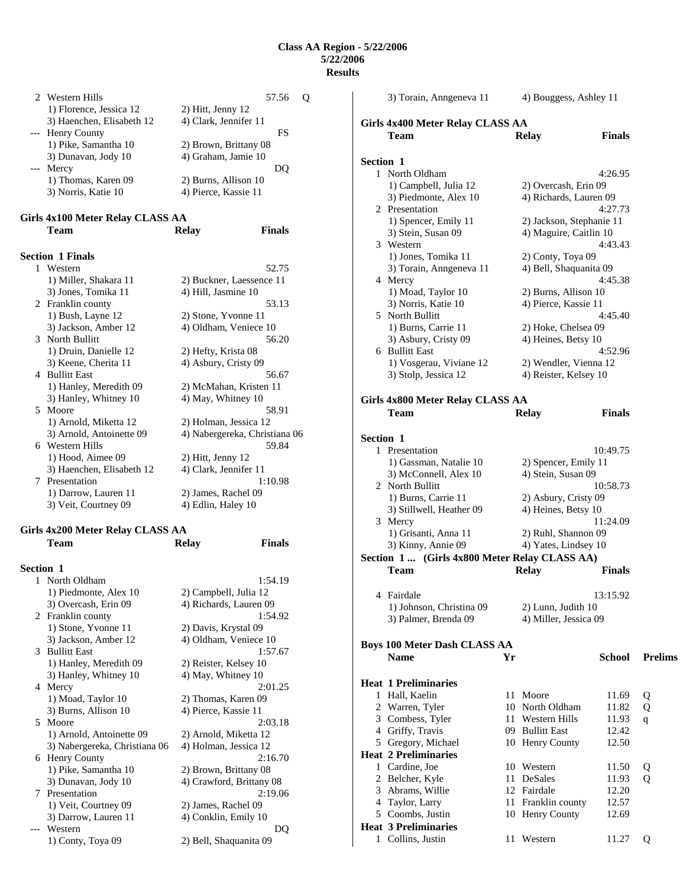|                                     | 2 Western Hills           | 57.56                 |  |
|-------------------------------------|---------------------------|-----------------------|--|
|                                     | 1) Florence, Jessica 12   | 2) Hitt, Jenny 12     |  |
|                                     | 3) Haenchen, Elisabeth 12 | 4) Clark, Jennifer 11 |  |
|                                     | --- Henry County          | FS                    |  |
|                                     | 1) Pike, Samantha 10      | 2) Brown, Brittany 08 |  |
|                                     | 3) Dunavan, Jody 10       | 4) Graham, Jamie 10   |  |
| $\hspace{0.05cm}---\hspace{0.05cm}$ | Mercy                     | DO)                   |  |
|                                     | 1) Thomas, Karen 09       | 2) Burns, Allison 10  |  |
|                                     | 3) Norris, Katie 10       | 4) Pierce, Kassie 11  |  |
|                                     |                           |                       |  |

## **Girls 4x100 Meter Relay CLASS AA Team Relay Finals**

| <b>Section 1 Finals</b>   |                               |
|---------------------------|-------------------------------|
| 1 Western                 | 52.75                         |
| 1) Miller, Shakara 11     | 2) Buckner, Laessence 11      |
| 3) Jones, Tomika 11       | 4) Hill, Jasmine 10           |
| 2 Franklin county         | 53.13                         |
| 1) Bush, Layne 12         | 2) Stone, Yvonne 11           |
| 3) Jackson, Amber 12      | 4) Oldham, Veniece 10         |
| 3 North Bullitt           | 56.20                         |
| 1) Druin, Danielle 12     | 2) Hefty, Krista 08           |
| 3) Keene, Cherita 11      | 4) Asbury, Cristy 09          |
| 4 Bullitt East            | 56.67                         |
| 1) Hanley, Meredith 09    | 2) McMahan, Kristen 11        |
| 3) Hanley, Whitney 10     | 4) May, Whitney 10            |
| 5 Moore                   | 58.91                         |
| 1) Arnold, Miketta 12     | 2) Holman, Jessica 12         |
| 3) Arnold, Antoinette 09  | 4) Nabergereka, Christiana 06 |
| 6 Western Hills           | 59.84                         |
| 1) Hood, Aimee 09         | 2) Hitt, Jenny 12             |
| 3) Haenchen, Elisabeth 12 | 4) Clark, Jennifer 11         |
| 7 Presentation            | 1:10.98                       |
| 1) Darrow, Lauren 11      | 2) James, Rachel 09           |
| 3) Veit, Courtney 09      | 4) Edlin, Haley 10            |
|                           |                               |

# **Girls 4x200 Meter Relay CLASS AA**

|                  | Team                          | <b>Relay</b>             | <b>Finals</b> |
|------------------|-------------------------------|--------------------------|---------------|
| <b>Section 1</b> |                               |                          |               |
|                  | 1 North Oldham                |                          | 1:54.19       |
|                  | 1) Piedmonte, Alex 10         | 2) Campbell, Julia 12    |               |
|                  | 3) Overcash, Erin 09          | 4) Richards, Lauren 09   |               |
|                  | 2 Franklin county             |                          | 1:54.92       |
|                  | 1) Stone, Yvonne 11           | 2) Davis, Krystal 09     |               |
|                  | 3) Jackson, Amber 12          | 4) Oldham, Veniece 10    |               |
|                  | 3 Bullitt East                |                          | 1:57.67       |
|                  | 1) Hanley, Meredith 09        | 2) Reister, Kelsey 10    |               |
|                  | 3) Hanley, Whitney 10         | 4) May, Whitney 10       |               |
|                  | 4 Mercy                       |                          | 2:01.25       |
|                  | 1) Moad, Taylor 10            | 2) Thomas, Karen 09      |               |
|                  | 3) Burns, Allison 10          | 4) Pierce, Kassie 11     |               |
| 5.               | Moore                         |                          | 2:03.18       |
|                  | 1) Arnold, Antoinette 09      | 2) Arnold, Miketta 12    |               |
|                  | 3) Nabergereka, Christiana 06 | 4) Holman, Jessica 12    |               |
|                  | 6 Henry County                |                          | 2:16.70       |
|                  | 1) Pike, Samantha 10          | 2) Brown, Brittany 08    |               |
|                  | 3) Dunavan, Jody 10           | 4) Crawford, Brittany 08 |               |
|                  | 7 Presentation                |                          | 2:19.06       |
|                  | 1) Veit, Courtney 09          | 2) James, Rachel 09      |               |
|                  | 3) Darrow, Lauren 11          | 4) Conklin, Emily 10     |               |
|                  | --- Western                   |                          | DO            |
|                  | 1) Conty, Toya 09             | 2) Bell, Shaquanita 09   |               |

|                  | 3) Torain, Anngeneva 11                        |    | 4) Bouggess, Ashley 11                      |               |                |  |  |  |
|------------------|------------------------------------------------|----|---------------------------------------------|---------------|----------------|--|--|--|
|                  | Girls 4x400 Meter Relay CLASS AA               |    |                                             |               |                |  |  |  |
|                  | <b>Team</b>                                    |    | <b>Relay</b>                                | <b>Finals</b> |                |  |  |  |
|                  |                                                |    |                                             |               |                |  |  |  |
| Section 1        |                                                |    |                                             |               |                |  |  |  |
|                  | 1 North Oldham                                 |    |                                             | 4:26.95       |                |  |  |  |
|                  | 1) Campbell, Julia 12                          |    | 2) Overcash, Erin 09                        |               |                |  |  |  |
|                  | 3) Piedmonte, Alex 10                          |    | 4) Richards, Lauren 09                      |               |                |  |  |  |
|                  | 2 Presentation                                 |    |                                             | 4:27.73       |                |  |  |  |
|                  | 1) Spencer, Emily 11                           |    | 2) Jackson, Stephanie 11                    |               |                |  |  |  |
|                  | 3) Stein, Susan 09                             |    | 4) Maguire, Caitlin 10                      |               |                |  |  |  |
|                  | 3 Western                                      |    |                                             | 4:43.43       |                |  |  |  |
|                  | 1) Jones, Tomika 11<br>3) Torain, Anngeneva 11 |    | 2) Conty, Toya 09<br>4) Bell, Shaquanita 09 |               |                |  |  |  |
|                  | 4 Mercy                                        |    |                                             | 4:45.38       |                |  |  |  |
|                  | 1) Moad, Taylor 10                             |    | 2) Burns, Allison 10                        |               |                |  |  |  |
|                  | 3) Norris, Katie 10                            |    | 4) Pierce, Kassie 11                        |               |                |  |  |  |
|                  | 5 North Bullitt                                |    |                                             | 4:45.40       |                |  |  |  |
|                  | 1) Burns, Carrie 11                            |    | 2) Hoke, Chelsea 09                         |               |                |  |  |  |
|                  | 3) Asbury, Cristy 09                           |    | 4) Heines, Betsy 10                         |               |                |  |  |  |
|                  | 6 Bullitt East                                 |    |                                             | 4:52.96       |                |  |  |  |
|                  | 1) Vosgerau, Viviane 12                        |    | 2) Wendler, Vienna 12                       |               |                |  |  |  |
|                  | 3) Stolp, Jessica 12                           |    | 4) Reister, Kelsey 10                       |               |                |  |  |  |
|                  |                                                |    |                                             |               |                |  |  |  |
|                  | Girls 4x800 Meter Relay CLASS AA               |    |                                             |               |                |  |  |  |
|                  | <b>Team</b>                                    |    | <b>Relay</b>                                | <b>Finals</b> |                |  |  |  |
|                  |                                                |    |                                             |               |                |  |  |  |
| <b>Section 1</b> |                                                |    |                                             |               |                |  |  |  |
|                  | 1 Presentation                                 |    |                                             | 10:49.75      |                |  |  |  |
|                  | 1) Gassman, Natalie 10                         |    | 2) Spencer, Emily 11                        |               |                |  |  |  |
|                  | 3) McConnell, Alex 10                          |    | 4) Stein, Susan 09                          |               |                |  |  |  |
|                  | 2 North Bullitt                                |    |                                             | 10:58.73      |                |  |  |  |
|                  | 1) Burns, Carrie 11                            |    | 2) Asbury, Cristy 09<br>4) Heines, Betsy 10 |               |                |  |  |  |
|                  | 3) Stillwell, Heather 09<br>3 Mercy            |    |                                             | 11:24.09      |                |  |  |  |
|                  | 1) Grisanti, Anna 11                           |    | 2) Ruhl, Shannon 09                         |               |                |  |  |  |
|                  | 3) Kinny, Annie 09                             |    | 4) Yates, Lindsey 10                        |               |                |  |  |  |
|                  | Section 1  (Girls 4x800 Meter Relay CLASS AA)  |    |                                             |               |                |  |  |  |
|                  | Team                                           |    | <b>Relay</b>                                | Finals        |                |  |  |  |
|                  |                                                |    |                                             |               |                |  |  |  |
| 4                | Fairdale                                       |    |                                             | 13:15.92      |                |  |  |  |
|                  | 1) Johnson, Christina 09                       |    | 2) Lunn, Judith 10                          |               |                |  |  |  |
|                  | 3) Palmer, Brenda 09                           |    | 4) Miller, Jessica 09                       |               |                |  |  |  |
|                  |                                                |    |                                             |               |                |  |  |  |
|                  | <b>Boys 100 Meter Dash CLASS AA</b>            |    |                                             |               |                |  |  |  |
|                  | <b>Name</b>                                    | Yr |                                             | School        | <b>Prelims</b> |  |  |  |
|                  | <b>Heat 1 Preliminaries</b>                    |    |                                             |               |                |  |  |  |
|                  | 1 Hall, Kaelin                                 | 11 | Moore                                       | 11.69         | Q              |  |  |  |
|                  | 2 Warren, Tyler                                |    | 10 North Oldham                             | 11.82         | Q              |  |  |  |
|                  | 3 Combess, Tyler                               |    | 11 Western Hills                            | 11.93         | q              |  |  |  |
|                  | 4 Griffy, Travis                               |    | 09 Bullitt East                             | 12.42         |                |  |  |  |
|                  | 5 Gregory, Michael                             |    | 10 Henry County                             | 12.50         |                |  |  |  |
|                  | <b>Heat 2 Preliminaries</b>                    |    |                                             |               |                |  |  |  |
|                  | 1 Cardine, Joe                                 |    | 10 Western                                  | 11.50         | Q              |  |  |  |
|                  | 2 Belcher, Kyle                                | 11 | DeSales                                     | 11.93         | Q              |  |  |  |
|                  | 3 Abrams, Willie                               |    | 12 Fairdale                                 | 12.20         |                |  |  |  |
|                  | 4 Taylor, Larry                                | 11 | Franklin county                             | 12.57         |                |  |  |  |
|                  | 5 Coombs, Justin                               |    | 10 Henry County                             | 12.69         |                |  |  |  |
|                  | <b>Heat 3 Preliminaries</b>                    |    |                                             |               |                |  |  |  |
|                  | 1 Collins, Justin                              |    | 11 Western                                  | 11.27         | Q              |  |  |  |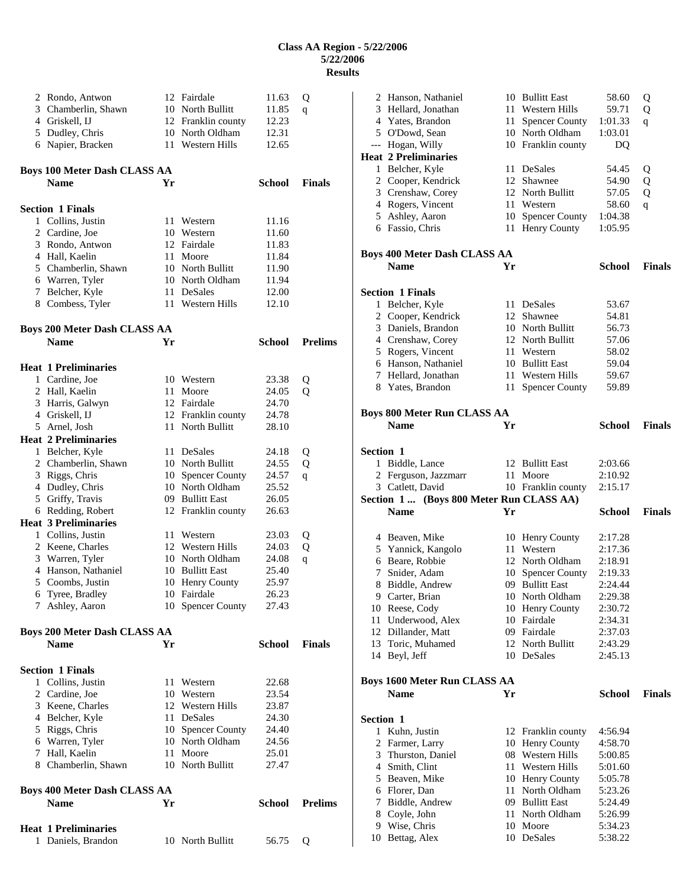|   | 2 Rondo, Antwon                             |    | 12 Fairdale                         | 11.63          | Q              |
|---|---------------------------------------------|----|-------------------------------------|----------------|----------------|
|   | 3 Chamberlin, Shawn                         |    | 10 North Bullitt                    | 11.85          | q              |
|   | 4 Griskell, IJ                              |    | 12 Franklin county                  | 12.23          |                |
|   | 5 Dudley, Chris                             |    | 10 North Oldham                     | 12.31          |                |
|   | 6 Napier, Bracken                           |    | 11 Western Hills                    | 12.65          |                |
|   |                                             |    |                                     |                |                |
|   | <b>Boys 100 Meter Dash CLASS AA</b>         |    |                                     |                |                |
|   | <b>Name</b>                                 | Yr |                                     | <b>School</b>  | <b>Finals</b>  |
|   | <b>Section 1 Finals</b>                     |    |                                     |                |                |
|   | 1 Collins, Justin                           |    | 11 Western                          | 11.16          |                |
|   | 2 Cardine, Joe                              |    | 10 Western                          | 11.60          |                |
|   | 3 Rondo, Antwon                             |    | 12 Fairdale                         | 11.83          |                |
|   | 4 Hall, Kaelin                              |    | 11 Moore                            | 11.84          |                |
|   | 5 Chamberlin, Shawn                         |    | 10 North Bullitt                    | 11.90          |                |
|   | 6 Warren, Tyler                             |    | 10 North Oldham                     | 11.94          |                |
| 7 | Belcher, Kyle                               |    | 11 DeSales                          | 12.00          |                |
|   | 8 Combess, Tyler                            |    | 11 Western Hills                    | 12.10          |                |
|   |                                             |    |                                     |                |                |
|   | Boys 200 Meter Dash CLASS AA<br><b>Name</b> | Yr |                                     | School         | <b>Prelims</b> |
|   |                                             |    |                                     |                |                |
|   | Heat 1 Preliminaries                        |    |                                     |                |                |
|   | 1 Cardine, Joe                              |    | 10 Western                          | 23.38          | Q              |
|   | 2 Hall, Kaelin                              |    | 11 Moore                            | 24.05          | Q              |
|   | 3 Harris, Galwyn                            |    | 12 Fairdale                         | 24.70          |                |
|   | 4 Griskell, IJ                              |    | 12 Franklin county                  | 24.78          |                |
|   | 5 Arnel, Josh                               |    | 11 North Bullitt                    | 28.10          |                |
|   | <b>Heat 2 Preliminaries</b>                 |    |                                     |                |                |
| 1 | Belcher, Kyle                               |    | 11 DeSales                          | 24.18          | Q              |
|   | 2 Chamberlin, Shawn                         |    | 10 North Bullitt                    | 24.55          | Q              |
| 3 | Riggs, Chris                                |    | 10 Spencer County                   | 24.57          | q              |
| 4 | Dudley, Chris                               |    | 10 North Oldham                     | 25.52          |                |
|   | 5 Griffy, Travis                            |    | 09 Bullitt East                     | 26.05          |                |
|   | 6 Redding, Robert                           |    | 12 Franklin county                  | 26.63          |                |
|   | <b>Heat 3 Preliminaries</b>                 |    |                                     |                |                |
|   | 1 Collins, Justin                           |    | 11 Western                          | 23.03          | Q              |
|   | 2 Keene, Charles                            |    | 12 Western Hills<br>10 North Oldham | 24.03          | Q              |
|   | 3 Warren, Tyler                             |    | 10 Bullitt East                     | 24.08          | $\mathsf{q}$   |
|   | 4 Hanson, Nathaniel                         |    | 10 Henry County                     | 25.40          |                |
|   | 5 Coombs, Justin<br>6 Tyree, Bradley        |    | 10 Fairdale                         | 25.97<br>26.23 |                |
| 7 | Ashley, Aaron                               |    | 10 Spencer County                   | 27.43          |                |
|   |                                             |    |                                     |                |                |
|   | Boys 200 Meter Dash CLASS AA                |    |                                     |                |                |
|   | <b>Name</b>                                 | Yr |                                     | <b>School</b>  | <b>Finals</b>  |
|   | <b>Section 1 Finals</b>                     |    |                                     |                |                |
|   | 1 Collins, Justin                           |    | 11 Western                          | 22.68          |                |
|   | 2 Cardine, Joe                              |    | 10 Western                          | 23.54          |                |
|   | 3 Keene, Charles                            |    | 12 Western Hills                    | 23.87          |                |
|   | 4 Belcher, Kyle                             |    | 11 DeSales                          | 24.30          |                |
|   | 5 Riggs, Chris                              | 10 | <b>Spencer County</b>               | 24.40          |                |
|   | 6 Warren, Tyler                             |    | 10 North Oldham                     | 24.56          |                |
|   | 7 Hall, Kaelin                              |    | 11 Moore                            | 25.01          |                |
|   | 8 Chamberlin, Shawn                         |    | 10 North Bullitt                    | 27.47          |                |
|   |                                             |    |                                     |                |                |
|   | Boys 400 Meter Dash CLASS AA<br><b>Name</b> | Yr |                                     | School         | <b>Prelims</b> |
|   |                                             |    |                                     |                |                |
|   | <b>Heat 1 Preliminaries</b>                 |    |                                     |                |                |
|   | 1 Daniels, Brandon                          |    | 10 North Bullitt                    | 56.75          | Q              |

|                          | 2 Hanson, Nathaniel                     |    | 10 Bullitt East        | 58.60              | Q             |
|--------------------------|-----------------------------------------|----|------------------------|--------------------|---------------|
|                          | 3 Hellard, Jonathan                     |    | 11 Western Hills       | 59.71              | Q             |
|                          | 4 Yates, Brandon                        | 11 | <b>Spencer County</b>  | 1:01.33            | q             |
|                          | 5 O'Dowd, Sean                          |    | 10 North Oldham        | 1:03.01            |               |
| $\overline{\phantom{a}}$ | Hogan, Willy                            |    | 10 Franklin county     | DQ                 |               |
|                          | <b>Heat 2 Preliminaries</b>             |    |                        |                    |               |
|                          | 1 Belcher, Kyle                         | 11 | DeSales                | 54.45              | Q             |
|                          | 2 Cooper, Kendrick                      |    | 12 Shawnee             | 54.90              | Q             |
|                          | 3 Crenshaw, Corey                       |    | 12 North Bullitt       | 57.05              | Q             |
|                          | 4 Rogers, Vincent                       | 11 | Western                | 58.60              | q             |
|                          | 5 Ashley, Aaron                         |    | 10 Spencer County      | 1:04.38            |               |
|                          | 6 Fassio, Chris                         | 11 | Henry County           | 1:05.95            |               |
|                          | <b>Boys 400 Meter Dash CLASS AA</b>     |    |                        |                    |               |
|                          | <b>Name</b>                             | Yr |                        | <b>School</b>      | <b>Finals</b> |
|                          |                                         |    |                        |                    |               |
|                          | <b>Section 1 Finals</b>                 |    |                        |                    |               |
| 1                        | Belcher, Kyle                           |    | 11 DeSales             | 53.67              |               |
|                          | 2 Cooper, Kendrick                      |    | 12 Shawnee             | 54.81              |               |
| 3                        | Daniels, Brandon                        |    | 10 North Bullitt       | 56.73              |               |
|                          | 4 Crenshaw, Corey                       |    | 12 North Bullitt       | 57.06              |               |
|                          | 5 Rogers, Vincent                       | 11 | Western                | 58.02              |               |
|                          | 6 Hanson, Nathaniel                     |    | 10 Bullitt East        | 59.04              |               |
|                          | 7 Hellard, Jonathan                     |    | 11 Western Hills       | 59.67              |               |
|                          | 8 Yates, Brandon                        | 11 | <b>Spencer County</b>  | 59.89              |               |
|                          |                                         |    |                        |                    |               |
|                          | <b>Boys 800 Meter Run CLASS AA</b>      |    |                        |                    |               |
|                          | <b>Name</b>                             | Yr |                        | School             | <b>Finals</b> |
|                          |                                         |    |                        |                    |               |
| <b>Section 1</b>         |                                         |    |                        |                    |               |
|                          | 1 Biddle, Lance                         |    | 12 Bullitt East        | 2:03.66            |               |
| 2                        | Ferguson, Jazzmarr                      | 11 | Moore                  | 2:10.92            |               |
|                          |                                         |    |                        |                    |               |
|                          | 3 Catlett, David                        |    | 10 Franklin county     | 2:15.17            |               |
|                          | Section 1 (Boys 800 Meter Run CLASS AA) |    |                        |                    |               |
|                          | <b>Name</b>                             | Yr |                        | <b>School</b>      | <b>Finals</b> |
|                          |                                         |    |                        |                    |               |
|                          | 4 Beaven, Mike                          |    | 10 Henry County        | 2:17.28            |               |
|                          | 5 Yannick, Kangolo                      | 11 | Western                | 2:17.36            |               |
|                          | 6 Beare, Robbie                         | 12 | North Oldham           | 2:18.91            |               |
| 7                        | Snider, Adam                            |    | 10 Spencer County      | 2:19.33            |               |
| 8                        | Biddle, Andrew                          |    | 09 Bullitt East        | 2:24.44            |               |
| 9                        | Carter, Brian                           |    | 10 North Oldham        | 2:29.38            |               |
|                          | 10 Reese, Cody                          |    | 10 Henry County        | 2:30.72            |               |
|                          | 11 Underwood, Alex                      |    | 10 Fairdale            | 2:34.31            |               |
|                          | 12 Dillander, Matt                      |    | 09 Fairdale            | 2:37.03            |               |
|                          | 13 Toric, Muhamed                       |    | 12 North Bullitt       | 2:43.29            |               |
|                          | 14 Beyl, Jeff                           |    | 10 DeSales             | 2:45.13            |               |
|                          |                                         |    |                        |                    |               |
|                          | <b>Boys 1600 Meter Run CLASS AA</b>     |    |                        |                    |               |
|                          | <b>Name</b>                             | Yr |                        | <b>School</b>      | <b>Finals</b> |
|                          |                                         |    |                        |                    |               |
| <b>Section 1</b>         |                                         |    |                        |                    |               |
|                          | 1 Kuhn, Justin                          |    | 12 Franklin county     | 4:56.94            |               |
|                          | 2 Farmer, Larry                         |    | 10 Henry County        | 4:58.70            |               |
|                          | 3 Thurston, Daniel                      |    | 08 Western Hills       | 5:00.85            |               |
|                          | 4 Smith, Clint                          | 11 | Western Hills          | 5:01.60            |               |
|                          | 5 Beaven, Mike                          |    | 10 Henry County        | 5:05.78            |               |
|                          | 6 Florer, Dan                           | 11 | North Oldham           | 5:23.26            |               |
| 7                        | Biddle, Andrew                          |    | 09 Bullitt East        | 5:24.49            |               |
|                          | 8 Coyle, John                           |    | 11 North Oldham        | 5:26.99            |               |
| 9                        | Wise, Chris<br>10 Bettag, Alex          |    | 10 Moore<br>10 DeSales | 5:34.23<br>5:38.22 |               |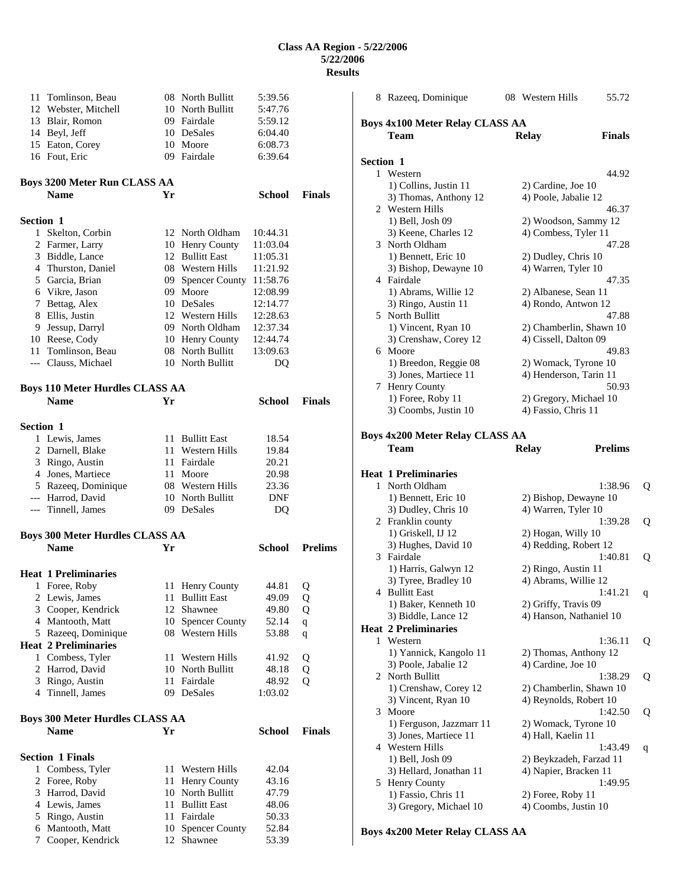| 11               | Tomlinson, Beau<br>12 Webster, Mitchell               |          | 08 North Bullitt<br>10 North Bullitt   | 5:39.56<br>5:47.76   |                |
|------------------|-------------------------------------------------------|----------|----------------------------------------|----------------------|----------------|
|                  | 13 Blair, Romon                                       |          | 09 Fairdale                            | 5:59.12              |                |
|                  | 14 Beyl, Jeff                                         |          | 10 DeSales                             | 6:04.40              |                |
|                  | 15 Eaton, Corey                                       |          | 10 Moore                               | 6:08.73              |                |
|                  | 16 Fout, Eric                                         |          | 09 Fairdale                            | 6:39.64              |                |
|                  | <b>Boys 3200 Meter Run CLASS AA</b>                   |          |                                        |                      |                |
|                  | <b>Name</b>                                           | Yr       |                                        | School               | <b>Finals</b>  |
| <b>Section 1</b> |                                                       |          |                                        |                      |                |
| $\mathbf{1}$     | Skelton, Corbin                                       |          | 12 North Oldham                        | 10:44.31             |                |
|                  | 2 Farmer, Larry                                       |          | 10 Henry County                        | 11:03.04             |                |
|                  | 3 Biddle, Lance                                       |          | 12 Bullitt East                        | 11:05.31             |                |
|                  | 4 Thurston, Daniel                                    |          | 08 Western Hills                       | 11:21.92             |                |
|                  | 5 Garcia, Brian<br>6 Vikre, Jason                     | 09       | Spencer County 11:58.76<br>09 Moore    |                      |                |
|                  | 7 Bettag, Alex                                        |          | 10 DeSales                             | 12:08.99<br>12:14.77 |                |
| 8                | Ellis, Justin                                         |          | 12 Western Hills                       | 12:28.63             |                |
| 9                | Jessup, Darryl                                        |          | 09 North Oldham                        | 12:37.34             |                |
|                  | 10 Reese, Cody                                        |          | 10 Henry County                        | 12:44.74             |                |
| 11 -             | Tomlinson, Beau                                       |          | 08 North Bullitt                       | 13:09.63             |                |
|                  | --- Clauss, Michael                                   |          | 10 North Bullitt                       | DQ                   |                |
|                  | <b>Boys 110 Meter Hurdles CLASS AA</b>                |          |                                        |                      |                |
|                  | <b>Name</b>                                           | Yr       |                                        | <b>School</b>        | <b>Finals</b>  |
| Section 1        |                                                       |          |                                        |                      |                |
|                  | 1 Lewis, James                                        |          | 11 Bullitt East                        | 18.54                |                |
|                  | 2 Darnell, Blake                                      |          | 11 Western Hills                       | 19.84                |                |
|                  | 3 Ringo, Austin                                       |          | 11 Fairdale                            | 20.21                |                |
|                  | 4 Jones, Martiece                                     | 11       | Moore                                  | 20.98                |                |
|                  | 5 Razeeq, Dominique                                   |          | 08 Western Hills                       | 23.36                |                |
|                  | --- Harrod, David<br>--- Tinnell, James               |          | 10 North Bullitt<br>09 DeSales         | <b>DNF</b><br>DQ     |                |
|                  |                                                       |          |                                        |                      |                |
|                  | <b>Boys 300 Meter Hurdles CLASS AA</b><br><b>Name</b> | Yr       |                                        | <b>School</b>        | <b>Prelims</b> |
|                  |                                                       |          |                                        |                      |                |
|                  | <b>Heat 1 Preliminaries</b>                           |          |                                        |                      |                |
| 1                | Foree, Roby                                           | 11       | Henry County                           | 44.81                | Q              |
| 2                | Lewis, James                                          | 11       | <b>Bullitt East</b>                    | 49.09                | Q              |
| 3<br>4           | Cooper, Kendrick<br>Mantooth, Matt                    | 12       | Shawnee                                | 49.80                | Q              |
|                  | 5 Razeeq, Dominique                                   | 10<br>08 | <b>Spencer County</b><br>Western Hills | 52.14<br>53.88       | $\mathbf q$    |
|                  | <b>Heat 2 Preliminaries</b>                           |          |                                        |                      | q              |
| $\mathbf{1}$     | Combess, Tyler                                        | 11       | Western Hills                          | 41.92                | Q              |
| 2                | Harrod, David                                         |          | 10 North Bullitt                       | 48.18                | Q              |
| 3                | Ringo, Austin                                         | 11-      | Fairdale                               | 48.92                | Q              |
|                  | 4 Tinnell, James                                      | 09       | DeSales                                | 1:03.02              |                |
|                  | <b>Boys 300 Meter Hurdles CLASS AA</b>                |          |                                        |                      |                |
|                  | <b>Name</b>                                           | Yr       |                                        | <b>School</b>        | <b>Finals</b>  |
|                  | <b>Section 1 Finals</b>                               |          |                                        |                      |                |
| 1                | Combess, Tyler                                        | 11       | Western Hills                          | 42.04                |                |
| 2                | Foree, Roby                                           | 11       | Henry County                           | 43.16                |                |
| 3                | Harrod, David                                         |          | 10 North Bullitt                       | 47.79                |                |
|                  | 4 Lewis, James                                        | 11 -     | <b>Bullitt East</b>                    | 48.06                |                |
| 5<br>6           | Ringo, Austin<br>Mantooth, Matt                       | 11<br>10 | Fairdale<br><b>Spencer County</b>      | 50.33<br>52.84       |                |
| 7                | Cooper, Kendrick                                      | 12       | Shawnee                                | 53.39                |                |
|                  |                                                       |          |                                        |                      |                |

|           | 8 Razeeq, Dominique                                | 08 Western Hills                            | 55.72          |   |
|-----------|----------------------------------------------------|---------------------------------------------|----------------|---|
|           |                                                    |                                             |                |   |
|           | <b>Boys 4x100 Meter Relay CLASS AA</b><br>Team     |                                             | <b>Finals</b>  |   |
|           |                                                    | Relay                                       |                |   |
| Section 1 |                                                    |                                             |                |   |
|           | 1 Western                                          |                                             | 44.92          |   |
|           | 1) Collins, Justin 11                              | 2) Cardine, Joe 10                          |                |   |
|           | 3) Thomas, Anthony 12                              | 4) Poole, Jabalie 12                        |                |   |
|           | 2 Western Hills                                    |                                             | 46.37          |   |
|           | 1) Bell, Josh 09                                   | 2) Woodson, Sammy 12                        |                |   |
|           | 3) Keene, Charles 12                               | 4) Combess, Tyler 11                        |                |   |
|           | 3 North Oldham                                     |                                             | 47.28          |   |
|           | 1) Bennett, Eric 10                                | 2) Dudley, Chris 10                         |                |   |
|           | 3) Bishop, Dewayne 10                              | 4) Warren, Tyler 10                         |                |   |
|           | 4 Fairdale                                         |                                             | 47.35          |   |
|           | 1) Abrams, Willie 12<br>3) Ringo, Austin 11        | 2) Albanese, Sean 11<br>4) Rondo, Antwon 12 |                |   |
|           | 5 North Bullitt                                    |                                             | 47.88          |   |
|           | 1) Vincent, Ryan 10                                | 2) Chamberlin, Shawn 10                     |                |   |
|           | 3) Crenshaw, Corey 12                              | 4) Cissell, Dalton 09                       |                |   |
|           | 6 Moore                                            |                                             | 49.83          |   |
|           | 1) Breedon, Reggie 08                              | 2) Womack, Tyrone 10                        |                |   |
|           | 3) Jones, Martiece 11                              | 4) Henderson, Tarin 11                      |                |   |
|           | 7 Henry County                                     |                                             | 50.93          |   |
|           | 1) Foree, Roby 11                                  | 2) Gregory, Michael 10                      |                |   |
|           | 3) Coombs, Justin 10                               | 4) Fassio, Chris 11                         |                |   |
|           |                                                    |                                             |                |   |
|           | <b>Boys 4x200 Meter Relay CLASS AA</b>             |                                             |                |   |
|           | Team                                               | <b>Relay</b>                                | <b>Prelims</b> |   |
|           | <b>Heat 1 Preliminaries</b>                        |                                             |                |   |
|           | 1 North Oldham                                     |                                             | 1:38.96        | Q |
|           | 1) Bennett, Eric 10                                | 2) Bishop, Dewayne 10                       |                |   |
|           | 3) Dudley, Chris 10                                | 4) Warren, Tyler 10                         |                |   |
|           | 2 Franklin county                                  |                                             | 1:39.28        | Q |
|           | 1) Griskell, IJ 12                                 | 2) Hogan, Willy 10                          |                |   |
|           | 3) Hughes, David 10                                | 4) Redding, Robert 12                       |                |   |
|           | 3 Fairdale                                         |                                             | 1:40.81        | Q |
|           | 1) Harris, Galwyn 12                               | 2) Ringo, Austin 11                         |                |   |
|           | 3) Tyree, Bradley 10                               | 4) Abrams, Willie 12                        |                |   |
|           | 4 Bullitt East                                     |                                             | 1:41.21        | q |
|           | 1) Baker, Kenneth 10                               | 2) Griffy, Travis 09                        |                |   |
|           | 3) Biddle, Lance 12<br><b>Heat 2 Preliminaries</b> | 4) Hanson, Nathaniel 10                     |                |   |
|           | 1 Western                                          |                                             | 1:36.11        | Q |
|           | 1) Yannick, Kangolo 11                             | 2) Thomas, Anthony 12                       |                |   |
|           | 3) Poole, Jabalie 12                               | 4) Cardine, Joe 10                          |                |   |
| 2         | North Bullitt                                      |                                             | 1:38.29        | Q |
|           | 1) Crenshaw, Corey 12                              | 2) Chamberlin, Shawn 10                     |                |   |
|           | 3) Vincent, Ryan 10                                | 4) Reynolds, Robert 10                      |                |   |
| 3         | Moore                                              |                                             | 1:42.50        | Q |
|           | 1) Ferguson, Jazzmarr 11                           | 2) Womack, Tyrone 10                        |                |   |
|           | 3) Jones, Martiece 11                              | 4) Hall, Kaelin 11                          |                |   |
|           | 4 Western Hills                                    |                                             | 1:43.49        | q |
|           | 1) Bell, Josh 09                                   | 2) Beykzadeh, Farzad 11                     |                |   |
|           | 3) Hellard, Jonathan 11                            | 4) Napier, Bracken 11                       |                |   |
|           | 5 Henry County                                     |                                             | 1:49.95        |   |
|           | 1) Fassio, Chris 11<br>3) Gregory, Michael 10      | 2) Foree, Roby 11<br>4) Coombs, Justin 10   |                |   |
|           |                                                    |                                             |                |   |

**Boys 4x200 Meter Relay CLASS AA**